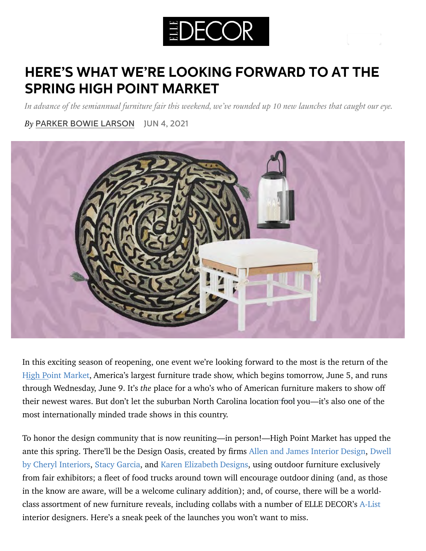

## **HERE'S WHAT WE'RE LOOKING FORWARD TO AT THE [SPRING H](https://www.elledecor.com/author/6885/parker-bowie/)IGH POINT MARKET**

*In advance of the semiannual furniture fair this weekend, we've rounded up 10 new launches that caught our eye.*

*By* PARKER BOWIE LARSON JUN 4, 2021



I[n this exciting season of reopening, one event we're looking forward to the most is the return of the](https://www.kedinteriors.com/)  [High Point Market,](https://www.highpointmarket.org/) America's largest furniture trade show, which begins tomorrow, June 5, and runs through Wednesday, June 9. It's *the* place for a who's who of American furniture makers to show off their newest wares. But don't let the suburban North Carolina location fool you—it's also one of the most internationally minded trade shows in this country.

To honor the design community that is now reuniting—in person!—High Point Market has upped the ante this spring. There'll be the Design Oasis, created by firms [Allen and James Interior Design](https://allenandjames.com/)[, Dwell](https://www.dwellbycheryl.com/) by Cheryl Interiors, [Stacy Garcia,](https://www.stacygarcianewyork.com/) and Karen Elizabeth Designs, using outdoor furniture exclusively from fair exhibitors; a fleet of food trucks around town will encourage outdoor dining (and, as those in the know are aware, will be a welcome culinary addition); and, of course, there will be a worldclass assortment of new furniture reveals, including collabs with a number of ELLE DECOR's [A-List](https://www.elledecor.com/design-decorate/a36533061/a-list-2021/) interior designers. Here's a sneak peek of the launches you won't want to miss.